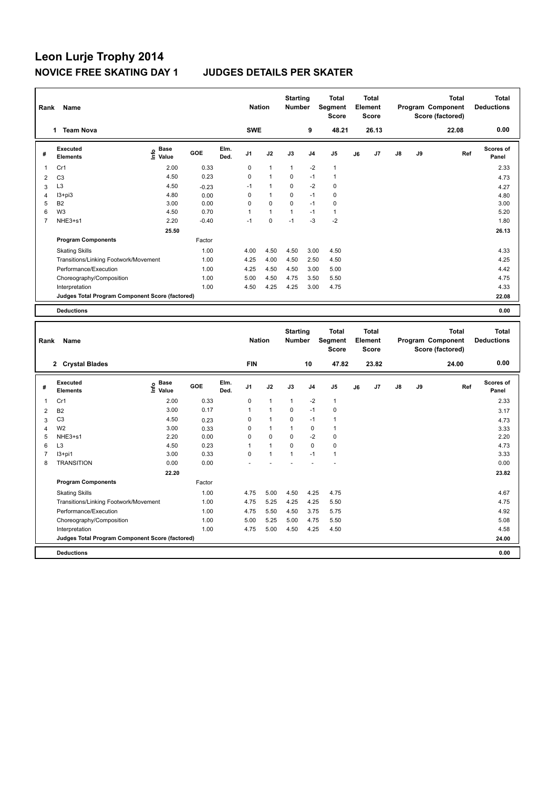# **Leon Lurje Trophy 2014 NOVICE FREE SKATING DAY 1 JUDGES DETAILS PER SKATER**

| Rank           | Name                                            |                              |         |              | <b>Nation</b>  |                | <b>Starting</b><br><b>Number</b> |                | <b>Total</b><br>Segment<br><b>Score</b> |    | <b>Total</b><br>Element<br>Score |               |    | <b>Total</b><br>Program Component<br>Score (factored) | <b>Total</b><br><b>Deductions</b> |
|----------------|-------------------------------------------------|------------------------------|---------|--------------|----------------|----------------|----------------------------------|----------------|-----------------------------------------|----|----------------------------------|---------------|----|-------------------------------------------------------|-----------------------------------|
|                | <b>Team Nova</b><br>1.                          |                              |         |              | <b>SWE</b>     |                |                                  | 9              | 48.21                                   |    | 26.13                            |               |    | 22.08                                                 | 0.00                              |
| #              | Executed<br><b>Elements</b>                     | <b>Base</b><br>lnfo<br>Value | GOE     | Elm.<br>Ded. | J <sub>1</sub> | J2             | J3                               | J <sub>4</sub> | J <sub>5</sub>                          | J6 | J7                               | $\mathsf{J}8$ | J9 | Ref                                                   | <b>Scores of</b><br>Panel         |
| 1              | Cr1                                             | 2.00                         | 0.33    |              | 0              | $\mathbf{1}$   | $\mathbf{1}$                     | $-2$           | $\mathbf{1}$                            |    |                                  |               |    |                                                       | 2.33                              |
| $\overline{2}$ | C <sub>3</sub>                                  | 4.50                         | 0.23    |              | 0              | $\overline{1}$ | $\Omega$                         | $-1$           | $\mathbf{1}$                            |    |                                  |               |    |                                                       | 4.73                              |
| 3              | L <sub>3</sub>                                  | 4.50                         | $-0.23$ |              | $-1$           | $\overline{1}$ | 0                                | $-2$           | 0                                       |    |                                  |               |    |                                                       | 4.27                              |
| 4              | $13 + pi3$                                      | 4.80                         | 0.00    |              | 0              | $\mathbf{1}$   | $\Omega$                         | $-1$           | 0                                       |    |                                  |               |    |                                                       | 4.80                              |
| 5              | <b>B2</b>                                       | 3.00                         | 0.00    |              | 0              | $\mathbf 0$    | $\mathbf 0$                      | $-1$           | 0                                       |    |                                  |               |    |                                                       | 3.00                              |
| 6              | W <sub>3</sub>                                  | 4.50                         | 0.70    |              | 1              | $\mathbf{1}$   | $\mathbf{1}$                     | $-1$           | $\mathbf{1}$                            |    |                                  |               |    |                                                       | 5.20                              |
| 7              | NHE3+s1                                         | 2.20                         | $-0.40$ |              | $-1$           | $\mathbf 0$    | $-1$                             | $-3$           | $-2$                                    |    |                                  |               |    |                                                       | 1.80                              |
|                |                                                 | 25.50                        |         |              |                |                |                                  |                |                                         |    |                                  |               |    |                                                       | 26.13                             |
|                | <b>Program Components</b>                       |                              | Factor  |              |                |                |                                  |                |                                         |    |                                  |               |    |                                                       |                                   |
|                | <b>Skating Skills</b>                           |                              | 1.00    |              | 4.00           | 4.50           | 4.50                             | 3.00           | 4.50                                    |    |                                  |               |    |                                                       | 4.33                              |
|                | Transitions/Linking Footwork/Movement           |                              | 1.00    |              | 4.25           | 4.00           | 4.50                             | 2.50           | 4.50                                    |    |                                  |               |    |                                                       | 4.25                              |
|                | Performance/Execution                           |                              | 1.00    |              | 4.25           | 4.50           | 4.50                             | 3.00           | 5.00                                    |    |                                  |               |    |                                                       | 4.42                              |
|                | Choreography/Composition                        |                              | 1.00    |              | 5.00           | 4.50           | 4.75                             | 3.50           | 5.50                                    |    |                                  |               |    |                                                       | 4.75                              |
|                | Interpretation                                  |                              | 1.00    |              | 4.50           | 4.25           | 4.25                             | 3.00           | 4.75                                    |    |                                  |               |    |                                                       | 4.33                              |
|                | Judges Total Program Component Score (factored) |                              |         |              |                |                |                                  |                |                                         |    |                                  |               |    |                                                       | 22.08                             |
|                | <b>Deductions</b>                               |                              |         |              |                |                |                                  |                |                                         |    |                                  |               |    |                                                       | 0.00                              |

| Rank           | Name                                            |                              | <b>Nation</b> |              | <b>Starting</b><br><b>Number</b> |                      | <b>Total</b><br>Segment<br><b>Score</b> |                | <b>Total</b><br>Element<br><b>Score</b> |    |       | <b>Total</b><br>Program Component<br>Score (factored) | <b>Total</b><br><b>Deductions</b> |       |                    |
|----------------|-------------------------------------------------|------------------------------|---------------|--------------|----------------------------------|----------------------|-----------------------------------------|----------------|-----------------------------------------|----|-------|-------------------------------------------------------|-----------------------------------|-------|--------------------|
|                | 2 Crystal Blades                                |                              |               |              | <b>FIN</b>                       |                      |                                         | 10             | 47.82                                   |    | 23.82 |                                                       |                                   | 24.00 | 0.00               |
| #              | Executed<br><b>Elements</b>                     | <b>Base</b><br>lmfo<br>Value | GOE           | Elm.<br>Ded. | J <sub>1</sub>                   | J2                   | J3                                      | J <sub>4</sub> | J <sub>5</sub>                          | J6 | J7    | $\mathsf{J}8$                                         | J9                                | Ref   | Scores of<br>Panel |
| 1              | Cr1                                             | 2.00                         | 0.33          |              | 0                                | $\mathbf{1}$         | $\mathbf{1}$                            | $-2$           | $\mathbf{1}$                            |    |       |                                                       |                                   |       | 2.33               |
| 2              | <b>B2</b>                                       | 3.00                         | 0.17          |              | 1                                | $\overline{1}$       | $\Omega$                                | $-1$           | $\pmb{0}$                               |    |       |                                                       |                                   |       | 3.17               |
| 3              | C <sub>3</sub>                                  | 4.50                         | 0.23          |              | 0                                | $\blacktriangleleft$ | 0                                       | $-1$           | $\overline{1}$                          |    |       |                                                       |                                   |       | 4.73               |
| $\overline{4}$ | W <sub>2</sub>                                  | 3.00                         | 0.33          |              | 0                                | $\mathbf{1}$         | 1                                       | $\mathbf 0$    | $\mathbf{1}$                            |    |       |                                                       |                                   |       | 3.33               |
| 5              | NHE3+s1                                         | 2.20                         | 0.00          |              | $\mathbf 0$                      | $\mathbf 0$          | $\Omega$                                | $-2$           | $\pmb{0}$                               |    |       |                                                       |                                   |       | 2.20               |
| 6              | L <sub>3</sub>                                  | 4.50                         | 0.23          |              | 1                                | $\overline{1}$       | $\Omega$                                | $\Omega$       | $\pmb{0}$                               |    |       |                                                       |                                   |       | 4.73               |
| 7              | $13+pi1$                                        | 3.00                         | 0.33          |              | 0                                | $\mathbf{1}$         | 1                                       | $-1$           | $\mathbf{1}$                            |    |       |                                                       |                                   |       | 3.33               |
| 8              | <b>TRANSITION</b>                               | 0.00                         | 0.00          |              |                                  |                      |                                         |                |                                         |    |       |                                                       |                                   |       | 0.00               |
|                |                                                 | 22.20                        |               |              |                                  |                      |                                         |                |                                         |    |       |                                                       |                                   |       | 23.82              |
|                | <b>Program Components</b>                       |                              | Factor        |              |                                  |                      |                                         |                |                                         |    |       |                                                       |                                   |       |                    |
|                | <b>Skating Skills</b>                           |                              | 1.00          |              | 4.75                             | 5.00                 | 4.50                                    | 4.25           | 4.75                                    |    |       |                                                       |                                   |       | 4.67               |
|                | Transitions/Linking Footwork/Movement           |                              | 1.00          |              | 4.75                             | 5.25                 | 4.25                                    | 4.25           | 5.50                                    |    |       |                                                       |                                   |       | 4.75               |
|                | Performance/Execution                           |                              | 1.00          |              | 4.75                             | 5.50                 | 4.50                                    | 3.75           | 5.75                                    |    |       |                                                       |                                   |       | 4.92               |
|                | Choreography/Composition                        |                              | 1.00          |              | 5.00                             | 5.25                 | 5.00                                    | 4.75           | 5.50                                    |    |       |                                                       |                                   |       | 5.08               |
|                | Interpretation                                  |                              | 1.00          |              | 4.75                             | 5.00                 | 4.50                                    | 4.25           | 4.50                                    |    |       |                                                       |                                   |       | 4.58               |
|                | Judges Total Program Component Score (factored) |                              |               |              |                                  |                      |                                         |                |                                         |    |       |                                                       |                                   |       | 24.00              |
|                | <b>Deductions</b>                               |                              |               |              |                                  |                      |                                         |                |                                         |    |       |                                                       |                                   |       | 0.00               |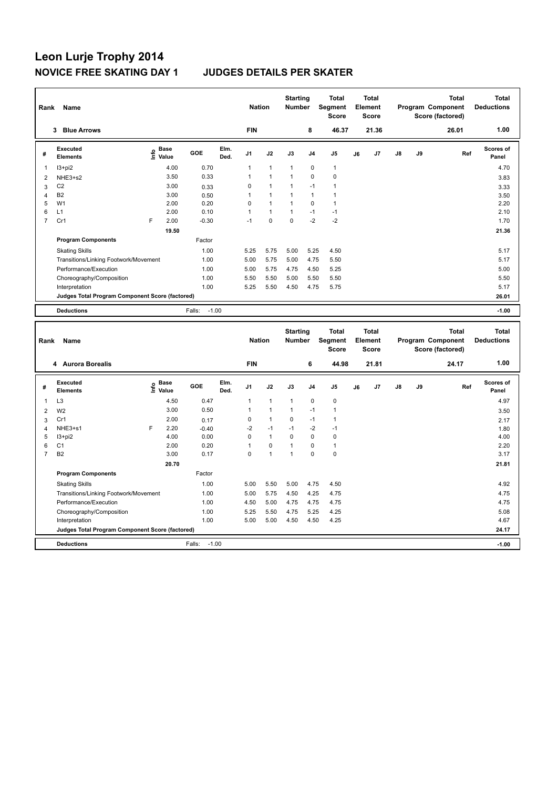# **Leon Lurje Trophy 2014 NOVICE FREE SKATING DAY 1 JUDGES DETAILS PER SKATER**

| Rank           | Name                                            |    |                      |                   |              | <b>Nation</b>  |                | <b>Starting</b><br><b>Number</b> |                | <b>Total</b><br>Segment<br><b>Score</b> |    | <b>Total</b><br>Element<br><b>Score</b> |               |    | <b>Total</b><br>Program Component<br>Score (factored) | Total<br><b>Deductions</b> |
|----------------|-------------------------------------------------|----|----------------------|-------------------|--------------|----------------|----------------|----------------------------------|----------------|-----------------------------------------|----|-----------------------------------------|---------------|----|-------------------------------------------------------|----------------------------|
|                | <b>Blue Arrows</b><br>3                         |    |                      |                   |              | <b>FIN</b>     |                |                                  | 8              | 46.37                                   |    | 21.36                                   |               |    | 26.01                                                 | 1.00                       |
| #              | Executed<br><b>Elements</b>                     | ۴ů | <b>Base</b><br>Value | GOE               | Elm.<br>Ded. | J <sub>1</sub> | J2             | J3                               | J <sub>4</sub> | J <sub>5</sub>                          | J6 | J <sub>7</sub>                          | $\mathsf{J}8$ | J9 | Ref                                                   | Scores of<br>Panel         |
| 1              | I3+pi2                                          |    | 4.00                 | 0.70              |              | 1              | $\overline{1}$ | $\mathbf{1}$                     | $\mathbf 0$    | $\mathbf{1}$                            |    |                                         |               |    |                                                       | 4.70                       |
| $\overline{2}$ | NHE3+s2                                         |    | 3.50                 | 0.33              |              |                | $\overline{1}$ | $\overline{1}$                   | $\mathbf 0$    | $\mathbf 0$                             |    |                                         |               |    |                                                       | 3.83                       |
| 3              | C <sub>2</sub>                                  |    | 3.00                 | 0.33              |              | 0              | $\overline{1}$ | $\overline{1}$                   | $-1$           | $\mathbf{1}$                            |    |                                         |               |    |                                                       | 3.33                       |
| 4              | <b>B2</b>                                       |    | 3.00                 | 0.50              |              | 1              | $\overline{1}$ | -1                               | $\mathbf{1}$   | $\mathbf{1}$                            |    |                                         |               |    |                                                       | 3.50                       |
| 5              | W <sub>1</sub>                                  |    | 2.00                 | 0.20              |              | 0              | $\overline{1}$ | $\overline{1}$                   | $\Omega$       | $\mathbf{1}$                            |    |                                         |               |    |                                                       | 2.20                       |
| 6              | L1                                              |    | 2.00                 | 0.10              |              | 1              | $\mathbf{1}$   | $\mathbf{1}$                     | $-1$           | $-1$                                    |    |                                         |               |    |                                                       | 2.10                       |
| $\overline{7}$ | Cr1                                             | E  | 2.00                 | $-0.30$           |              | $-1$           | $\mathbf 0$    | $\mathbf 0$                      | $-2$           | $-2$                                    |    |                                         |               |    |                                                       | 1.70                       |
|                |                                                 |    | 19.50                |                   |              |                |                |                                  |                |                                         |    |                                         |               |    |                                                       | 21.36                      |
|                | <b>Program Components</b>                       |    |                      | Factor            |              |                |                |                                  |                |                                         |    |                                         |               |    |                                                       |                            |
|                | <b>Skating Skills</b>                           |    |                      | 1.00              |              | 5.25           | 5.75           | 5.00                             | 5.25           | 4.50                                    |    |                                         |               |    |                                                       | 5.17                       |
|                | Transitions/Linking Footwork/Movement           |    |                      | 1.00              |              | 5.00           | 5.75           | 5.00                             | 4.75           | 5.50                                    |    |                                         |               |    |                                                       | 5.17                       |
|                | Performance/Execution                           |    |                      | 1.00              |              | 5.00           | 5.75           | 4.75                             | 4.50           | 5.25                                    |    |                                         |               |    |                                                       | 5.00                       |
|                | Choreography/Composition                        |    |                      | 1.00              |              | 5.50           | 5.50           | 5.00                             | 5.50           | 5.50                                    |    |                                         |               |    |                                                       | 5.50                       |
|                | Interpretation                                  |    |                      | 1.00              |              | 5.25           | 5.50           | 4.50                             | 4.75           | 5.75                                    |    |                                         |               |    |                                                       | 5.17                       |
|                | Judges Total Program Component Score (factored) |    |                      |                   |              |                |                |                                  |                |                                         |    |                                         |               |    |                                                       | 26.01                      |
|                | <b>Deductions</b>                               |    |                      | $-1.00$<br>Falls: |              |                |                |                                  |                |                                         |    |                                         |               |    |                                                       | $-1.00$                    |
|                |                                                 |    |                      |                   |              |                |                |                                  |                |                                         |    |                                         |               |    |                                                       |                            |

| Rank           | Name                                            |      |                      |                   |              | <b>Nation</b>  |                | <b>Starting</b><br><b>Number</b> |                | <b>Total</b><br>Segment<br>Score |    | <b>Total</b><br>Element<br><b>Score</b> |    |    | <b>Total</b><br>Program Component<br>Score (factored) | <b>Total</b><br><b>Deductions</b> |
|----------------|-------------------------------------------------|------|----------------------|-------------------|--------------|----------------|----------------|----------------------------------|----------------|----------------------------------|----|-----------------------------------------|----|----|-------------------------------------------------------|-----------------------------------|
|                | 4 Aurora Borealis                               |      |                      |                   |              | <b>FIN</b>     |                |                                  | 6              | 44.98                            |    | 21.81                                   |    |    | 24.17                                                 | 1.00                              |
| #              | Executed<br><b>Elements</b>                     | lnfo | <b>Base</b><br>Value | GOE               | Elm.<br>Ded. | J <sub>1</sub> | J2             | J3                               | J <sub>4</sub> | J <sub>5</sub>                   | J6 | J7                                      | J8 | J9 | Ref                                                   | <b>Scores of</b><br>Panel         |
| -1             | L <sub>3</sub>                                  |      | 4.50                 | 0.47              |              | 1              | $\overline{1}$ | $\overline{1}$                   | $\mathbf 0$    | $\mathbf 0$                      |    |                                         |    |    |                                                       | 4.97                              |
| 2              | W <sub>2</sub>                                  |      | 3.00                 | 0.50              |              |                | $\overline{1}$ | -1                               | $-1$           | $\overline{1}$                   |    |                                         |    |    |                                                       | 3.50                              |
| 3              | Cr1                                             |      | 2.00                 | 0.17              |              | 0              | $\overline{1}$ | 0                                | $-1$           | 1                                |    |                                         |    |    |                                                       | 2.17                              |
| $\overline{4}$ | NHE3+s1                                         | F    | 2.20                 | $-0.40$           |              | $-2$           | $-1$           | $-1$                             | $-2$           | $-1$                             |    |                                         |    |    |                                                       | 1.80                              |
| 5              | $13 + pi2$                                      |      | 4.00                 | 0.00              |              | $\Omega$       | $\mathbf{1}$   | $\Omega$                         | $\mathbf 0$    | $\mathbf 0$                      |    |                                         |    |    |                                                       | 4.00                              |
| 6              | C <sub>1</sub>                                  |      | 2.00                 | 0.20              |              | 1              | 0              | $\overline{1}$                   | $\Omega$       | $\mathbf{1}$                     |    |                                         |    |    |                                                       | 2.20                              |
| $\overline{7}$ | B <sub>2</sub>                                  |      | 3.00                 | 0.17              |              | 0              | $\overline{1}$ | $\overline{1}$                   | $\mathbf 0$    | $\mathbf 0$                      |    |                                         |    |    |                                                       | 3.17                              |
|                |                                                 |      | 20.70                |                   |              |                |                |                                  |                |                                  |    |                                         |    |    |                                                       | 21.81                             |
|                | <b>Program Components</b>                       |      |                      | Factor            |              |                |                |                                  |                |                                  |    |                                         |    |    |                                                       |                                   |
|                | <b>Skating Skills</b>                           |      |                      | 1.00              |              | 5.00           | 5.50           | 5.00                             | 4.75           | 4.50                             |    |                                         |    |    |                                                       | 4.92                              |
|                | Transitions/Linking Footwork/Movement           |      |                      | 1.00              |              | 5.00           | 5.75           | 4.50                             | 4.25           | 4.75                             |    |                                         |    |    |                                                       | 4.75                              |
|                | Performance/Execution                           |      |                      | 1.00              |              | 4.50           | 5.00           | 4.75                             | 4.75           | 4.75                             |    |                                         |    |    |                                                       | 4.75                              |
|                | Choreography/Composition                        |      |                      | 1.00              |              | 5.25           | 5.50           | 4.75                             | 5.25           | 4.25                             |    |                                         |    |    |                                                       | 5.08                              |
|                | Interpretation                                  |      |                      | 1.00              |              | 5.00           | 5.00           | 4.50                             | 4.50           | 4.25                             |    |                                         |    |    |                                                       | 4.67                              |
|                | Judges Total Program Component Score (factored) |      |                      |                   |              |                |                |                                  |                |                                  |    |                                         |    |    |                                                       | 24.17                             |
|                | <b>Deductions</b>                               |      |                      | $-1.00$<br>Falls: |              |                |                |                                  |                |                                  |    |                                         |    |    |                                                       | $-1.00$                           |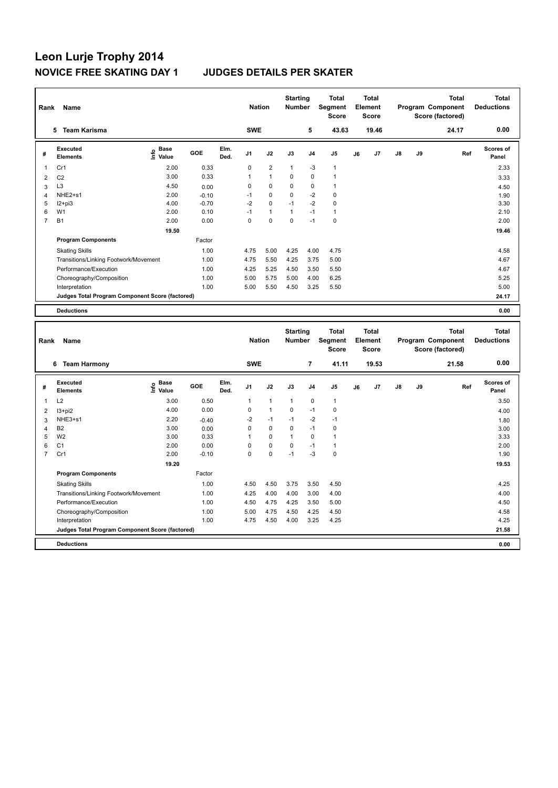# **Leon Lurje Trophy 2014**

## **JUDGES DETAILS PER SKATER**

| Rank           | <b>Name</b>                                     |                                    |         |              | <b>Nation</b>  |                | <b>Starting</b><br><b>Number</b> |                | <b>Total</b><br>Segment<br><b>Score</b> |    | <b>Total</b><br>Element<br><b>Score</b> |               |    | <b>Total</b><br>Program Component<br>Score (factored) | <b>Total</b><br><b>Deductions</b> |
|----------------|-------------------------------------------------|------------------------------------|---------|--------------|----------------|----------------|----------------------------------|----------------|-----------------------------------------|----|-----------------------------------------|---------------|----|-------------------------------------------------------|-----------------------------------|
|                | <b>Team Karisma</b><br>5.                       |                                    |         |              | <b>SWE</b>     |                |                                  | 5              | 43.63                                   |    | 19.46                                   |               |    | 24.17                                                 | 0.00                              |
| #              | <b>Executed</b><br><b>Elements</b>              | <b>Base</b><br>$\frac{6}{5}$ Value | GOE     | Elm.<br>Ded. | J <sub>1</sub> | J2             | J3                               | J <sub>4</sub> | J <sub>5</sub>                          | J6 | J7                                      | $\mathsf{J}8$ | J9 | Ref                                                   | <b>Scores of</b><br>Panel         |
| 1              | Cr1                                             | 2.00                               | 0.33    |              | 0              | $\overline{2}$ | $\mathbf{1}$                     | $-3$           | $\mathbf{1}$                            |    |                                         |               |    |                                                       | 2.33                              |
| $\overline{2}$ | C <sub>2</sub>                                  | 3.00                               | 0.33    |              | 1              | $\mathbf{1}$   | 0                                | $\mathbf 0$    | $\mathbf{1}$                            |    |                                         |               |    |                                                       | 3.33                              |
| 3              | L <sub>3</sub>                                  | 4.50                               | 0.00    |              | 0              | 0              | 0                                | 0              | $\mathbf{1}$                            |    |                                         |               |    |                                                       | 4.50                              |
| 4              | NHE2+s1                                         | 2.00                               | $-0.10$ |              | $-1$           | 0              | 0                                | $-2$           | 0                                       |    |                                         |               |    |                                                       | 1.90                              |
| 5              | $12+pi3$                                        | 4.00                               | $-0.70$ |              | $-2$           | $\mathbf 0$    | $-1$                             | $-2$           | $\pmb{0}$                               |    |                                         |               |    |                                                       | 3.30                              |
| 6              | W <sub>1</sub>                                  | 2.00                               | 0.10    |              | $-1$           | $\mathbf{1}$   | $\overline{1}$                   | $-1$           | $\mathbf{1}$                            |    |                                         |               |    |                                                       | 2.10                              |
| $\overline{7}$ | <b>B1</b>                                       | 2.00                               | 0.00    |              | 0              | $\mathbf 0$    | $\mathbf 0$                      | $-1$           | $\mathbf 0$                             |    |                                         |               |    |                                                       | 2.00                              |
|                |                                                 | 19.50                              |         |              |                |                |                                  |                |                                         |    |                                         |               |    |                                                       | 19.46                             |
|                | <b>Program Components</b>                       |                                    | Factor  |              |                |                |                                  |                |                                         |    |                                         |               |    |                                                       |                                   |
|                | <b>Skating Skills</b>                           |                                    | 1.00    |              | 4.75           | 5.00           | 4.25                             | 4.00           | 4.75                                    |    |                                         |               |    |                                                       | 4.58                              |
|                | Transitions/Linking Footwork/Movement           |                                    | 1.00    |              | 4.75           | 5.50           | 4.25                             | 3.75           | 5.00                                    |    |                                         |               |    |                                                       | 4.67                              |
|                | Performance/Execution                           |                                    | 1.00    |              | 4.25           | 5.25           | 4.50                             | 3.50           | 5.50                                    |    |                                         |               |    |                                                       | 4.67                              |
|                | Choreography/Composition                        |                                    | 1.00    |              | 5.00           | 5.75           | 5.00                             | 4.00           | 6.25                                    |    |                                         |               |    |                                                       | 5.25                              |
|                | Interpretation                                  |                                    | 1.00    |              | 5.00           | 5.50           | 4.50                             | 3.25           | 5.50                                    |    |                                         |               |    |                                                       | 5.00                              |
|                | Judges Total Program Component Score (factored) |                                    |         |              |                |                |                                  |                |                                         |    |                                         |               |    |                                                       | 24.17                             |
|                | <b>Deductions</b>                               |                                    |         |              |                |                |                                  |                |                                         |    |                                         |               |    |                                                       | 0.00                              |

| Rank           | Name                                            |                              |         |              | <b>Nation</b>  |                | <b>Starting</b><br><b>Number</b> |                | <b>Total</b><br>Segment<br><b>Score</b> |    | <b>Total</b><br>Element<br><b>Score</b> |               |    | <b>Total</b><br>Program Component<br>Score (factored) | <b>Total</b><br><b>Deductions</b> |
|----------------|-------------------------------------------------|------------------------------|---------|--------------|----------------|----------------|----------------------------------|----------------|-----------------------------------------|----|-----------------------------------------|---------------|----|-------------------------------------------------------|-----------------------------------|
|                | <b>Team Harmony</b><br>6                        |                              |         |              | <b>SWE</b>     |                |                                  | $\overline{7}$ | 41.11                                   |    | 19.53                                   |               |    | 21.58                                                 | 0.00                              |
| #              | Executed<br><b>Elements</b>                     | <b>Base</b><br>١πfo<br>Value | GOE     | Elm.<br>Ded. | J <sub>1</sub> | J2             | J3                               | J <sub>4</sub> | J <sub>5</sub>                          | J6 | J <sub>7</sub>                          | $\mathsf{J}8$ | J9 | Ref                                                   | <b>Scores of</b><br>Panel         |
| 1              | L2                                              | 3.00                         | 0.50    |              | $\mathbf{1}$   | $\overline{1}$ | $\mathbf{1}$                     | 0              | $\mathbf{1}$                            |    |                                         |               |    |                                                       | 3.50                              |
| 2              | $13 + pi2$                                      | 4.00                         | 0.00    |              | $\Omega$       | $\overline{1}$ | $\mathbf 0$                      | $-1$           | $\mathbf 0$                             |    |                                         |               |    |                                                       | 4.00                              |
| 3              | NHE3+s1                                         | 2.20                         | $-0.40$ |              | $-2$           | $-1$           | $-1$                             | $-2$           | $-1$                                    |    |                                         |               |    |                                                       | 1.80                              |
| 4              | B <sub>2</sub>                                  | 3.00                         | 0.00    |              | 0              | $\mathbf 0$    | 0                                | $-1$           | 0                                       |    |                                         |               |    |                                                       | 3.00                              |
| 5              | W <sub>2</sub>                                  | 3.00                         | 0.33    |              |                | $\mathbf 0$    | $\overline{1}$                   | 0              | 1                                       |    |                                         |               |    |                                                       | 3.33                              |
| 6              | C <sub>1</sub>                                  | 2.00                         | 0.00    |              | 0              | $\mathbf 0$    | $\mathbf 0$                      | $-1$           | 1                                       |    |                                         |               |    |                                                       | 2.00                              |
| $\overline{7}$ | Cr1                                             | 2.00                         | $-0.10$ |              | 0              | $\mathbf 0$    | $-1$                             | $-3$           | $\mathbf 0$                             |    |                                         |               |    |                                                       | 1.90                              |
|                |                                                 | 19.20                        |         |              |                |                |                                  |                |                                         |    |                                         |               |    |                                                       | 19.53                             |
|                | <b>Program Components</b>                       |                              | Factor  |              |                |                |                                  |                |                                         |    |                                         |               |    |                                                       |                                   |
|                | <b>Skating Skills</b>                           |                              | 1.00    |              | 4.50           | 4.50           | 3.75                             | 3.50           | 4.50                                    |    |                                         |               |    |                                                       | 4.25                              |
|                | Transitions/Linking Footwork/Movement           |                              | 1.00    |              | 4.25           | 4.00           | 4.00                             | 3.00           | 4.00                                    |    |                                         |               |    |                                                       | 4.00                              |
|                | Performance/Execution                           |                              | 1.00    |              | 4.50           | 4.75           | 4.25                             | 3.50           | 5.00                                    |    |                                         |               |    |                                                       | 4.50                              |
|                | Choreography/Composition                        |                              | 1.00    |              | 5.00           | 4.75           | 4.50                             | 4.25           | 4.50                                    |    |                                         |               |    |                                                       | 4.58                              |
|                | Interpretation                                  |                              | 1.00    |              | 4.75           | 4.50           | 4.00                             | 3.25           | 4.25                                    |    |                                         |               |    |                                                       | 4.25                              |
|                | Judges Total Program Component Score (factored) |                              |         |              |                |                |                                  |                |                                         |    |                                         |               |    |                                                       | 21.58                             |
|                | <b>Deductions</b>                               |                              |         |              |                |                |                                  |                |                                         |    |                                         |               |    |                                                       | 0.00                              |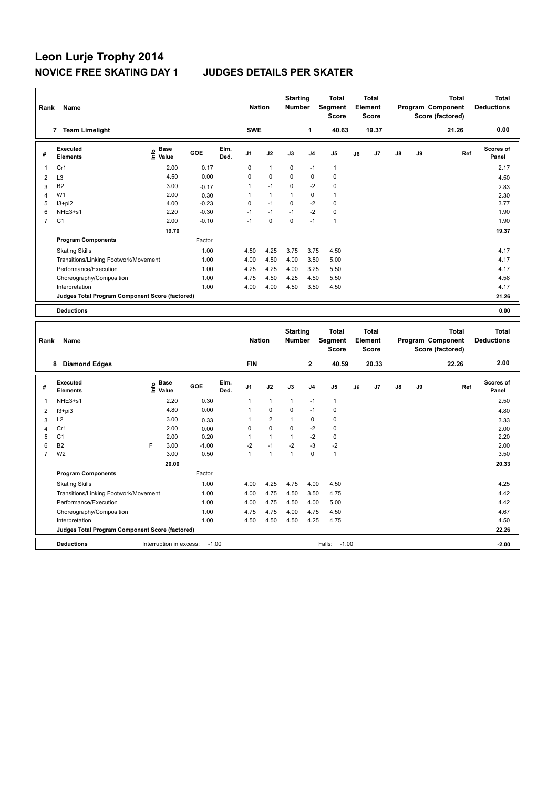## **Leon Lurje Trophy 2014 NOVICE FREE SKATING DAY 1 JUDGES DETAILS PER SKATER**

| Rank           | Name                                            |                                  |         |              | <b>Nation</b>  |              | <b>Starting</b><br><b>Number</b> |                | <b>Total</b><br>Segment<br><b>Score</b> |    | <b>Total</b><br>Element<br><b>Score</b> |    |    | <b>Total</b><br>Program Component<br>Score (factored) | <b>Total</b><br><b>Deductions</b> |
|----------------|-------------------------------------------------|----------------------------------|---------|--------------|----------------|--------------|----------------------------------|----------------|-----------------------------------------|----|-----------------------------------------|----|----|-------------------------------------------------------|-----------------------------------|
|                | <b>Team Limelight</b><br>7                      |                                  |         |              | <b>SWE</b>     |              |                                  | 1              | 40.63                                   |    | 19.37                                   |    |    | 21.26                                                 | 0.00                              |
| #              | Executed<br><b>Elements</b>                     | <b>Base</b><br>e Base<br>⊆ Value | GOE     | Elm.<br>Ded. | J <sub>1</sub> | J2           | J3                               | J <sub>4</sub> | J <sub>5</sub>                          | J6 | J <sub>7</sub>                          | J8 | J9 | Ref                                                   | <b>Scores of</b><br>Panel         |
| 1              | Cr1                                             | 2.00                             | 0.17    |              | 0              | $\mathbf{1}$ | $\mathbf 0$                      | $-1$           | $\mathbf{1}$                            |    |                                         |    |    |                                                       | 2.17                              |
| $\overline{2}$ | L <sub>3</sub>                                  | 4.50                             | 0.00    |              | 0              | $\mathbf 0$  | $\mathbf 0$                      | $\mathbf 0$    | $\mathbf 0$                             |    |                                         |    |    |                                                       | 4.50                              |
| 3              | B <sub>2</sub>                                  | 3.00                             | $-0.17$ |              | 1              | $-1$         | $\mathbf 0$                      | $-2$           | $\pmb{0}$                               |    |                                         |    |    |                                                       | 2.83                              |
| $\overline{4}$ | W <sub>1</sub>                                  | 2.00                             | 0.30    |              |                | $\mathbf{1}$ | $\mathbf{1}$                     | 0              | $\mathbf{1}$                            |    |                                         |    |    |                                                       | 2.30                              |
| 5              | $13 + pi2$                                      | 4.00                             | $-0.23$ |              | 0              | $-1$         | 0                                | $-2$           | 0                                       |    |                                         |    |    |                                                       | 3.77                              |
| 6              | NHE3+s1                                         | 2.20                             | $-0.30$ |              | $-1$           | $-1$         | $-1$                             | $-2$           | $\pmb{0}$                               |    |                                         |    |    |                                                       | 1.90                              |
| 7              | C <sub>1</sub>                                  | 2.00                             | $-0.10$ |              | $-1$           | $\mathbf 0$  | $\mathbf 0$                      | $-1$           | $\overline{1}$                          |    |                                         |    |    |                                                       | 1.90                              |
|                |                                                 | 19.70                            |         |              |                |              |                                  |                |                                         |    |                                         |    |    |                                                       | 19.37                             |
|                | <b>Program Components</b>                       |                                  | Factor  |              |                |              |                                  |                |                                         |    |                                         |    |    |                                                       |                                   |
|                | <b>Skating Skills</b>                           |                                  | 1.00    |              | 4.50           | 4.25         | 3.75                             | 3.75           | 4.50                                    |    |                                         |    |    |                                                       | 4.17                              |
|                | Transitions/Linking Footwork/Movement           |                                  | 1.00    |              | 4.00           | 4.50         | 4.00                             | 3.50           | 5.00                                    |    |                                         |    |    |                                                       | 4.17                              |
|                | Performance/Execution                           |                                  | 1.00    |              | 4.25           | 4.25         | 4.00                             | 3.25           | 5.50                                    |    |                                         |    |    |                                                       | 4.17                              |
|                | Choreography/Composition                        |                                  | 1.00    |              | 4.75           | 4.50         | 4.25                             | 4.50           | 5.50                                    |    |                                         |    |    |                                                       | 4.58                              |
|                | Interpretation                                  |                                  | 1.00    |              | 4.00           | 4.00         | 4.50                             | 3.50           | 4.50                                    |    |                                         |    |    |                                                       | 4.17                              |
|                | Judges Total Program Component Score (factored) |                                  |         |              |                |              |                                  |                |                                         |    |                                         |    |    |                                                       | 21.26                             |
|                | <b>Deductions</b>                               |                                  |         |              |                |              |                                  |                |                                         |    |                                         |    |    |                                                       | 0.00                              |

| Rank | <b>Name</b>                                     |     |                         |         |              | <b>Nation</b>  |                | <b>Starting</b><br><b>Number</b> |                | Total<br>Segment<br><b>Score</b> |    | <b>Total</b><br>Element<br><b>Score</b> |               |    | <b>Total</b><br>Program Component<br>Score (factored) | Total<br><b>Deductions</b> |
|------|-------------------------------------------------|-----|-------------------------|---------|--------------|----------------|----------------|----------------------------------|----------------|----------------------------------|----|-----------------------------------------|---------------|----|-------------------------------------------------------|----------------------------|
|      | <b>Diamond Edges</b><br>8                       |     |                         |         |              | <b>FIN</b>     |                |                                  | $\mathbf{2}$   | 40.59                            |    | 20.33                                   |               |    | 22.26                                                 | 2.00                       |
| #    | Executed<br><b>Elements</b>                     | ١m٥ | <b>Base</b><br>Value    | GOE     | Elm.<br>Ded. | J <sub>1</sub> | J2             | J3                               | J <sub>4</sub> | J <sub>5</sub>                   | J6 | J <sub>7</sub>                          | $\mathsf{J}8$ | J9 | Ref                                                   | <b>Scores of</b><br>Panel  |
| -1   | NHE3+s1                                         |     | 2.20                    | 0.30    |              | 1              | $\mathbf{1}$   | $\mathbf{1}$                     | $-1$           | $\mathbf{1}$                     |    |                                         |               |    |                                                       | 2.50                       |
| 2    | $13 + pi3$                                      |     | 4.80                    | 0.00    |              | 1              | $\mathbf 0$    | 0                                | $-1$           | 0                                |    |                                         |               |    |                                                       | 4.80                       |
| 3    | L2                                              |     | 3.00                    | 0.33    |              |                | $\overline{2}$ |                                  | $\mathbf 0$    | 0                                |    |                                         |               |    |                                                       | 3.33                       |
| 4    | Cr1                                             |     | 2.00                    | 0.00    |              | 0              | $\mathbf 0$    | 0                                | $-2$           | 0                                |    |                                         |               |    |                                                       | 2.00                       |
| 5    | C <sub>1</sub>                                  |     | 2.00                    | 0.20    |              |                | $\mathbf{1}$   |                                  | $-2$           | 0                                |    |                                         |               |    |                                                       | 2.20                       |
| 6    | B <sub>2</sub>                                  | F   | 3.00                    | $-1.00$ |              | $-2$           | $-1$           | $-2$                             | $-3$           | $-2$                             |    |                                         |               |    |                                                       | 2.00                       |
| 7    | W <sub>2</sub>                                  |     | 3.00                    | 0.50    |              | 1              | $\overline{1}$ |                                  | $\Omega$       | $\mathbf{1}$                     |    |                                         |               |    |                                                       | 3.50                       |
|      |                                                 |     | 20.00                   |         |              |                |                |                                  |                |                                  |    |                                         |               |    |                                                       | 20.33                      |
|      | <b>Program Components</b>                       |     |                         | Factor  |              |                |                |                                  |                |                                  |    |                                         |               |    |                                                       |                            |
|      | <b>Skating Skills</b>                           |     |                         | 1.00    |              | 4.00           | 4.25           | 4.75                             | 4.00           | 4.50                             |    |                                         |               |    |                                                       | 4.25                       |
|      | Transitions/Linking Footwork/Movement           |     |                         | 1.00    |              | 4.00           | 4.75           | 4.50                             | 3.50           | 4.75                             |    |                                         |               |    |                                                       | 4.42                       |
|      | Performance/Execution                           |     |                         | 1.00    |              | 4.00           | 4.75           | 4.50                             | 4.00           | 5.00                             |    |                                         |               |    |                                                       | 4.42                       |
|      | Choreography/Composition                        |     |                         | 1.00    |              | 4.75           | 4.75           | 4.00                             | 4.75           | 4.50                             |    |                                         |               |    |                                                       | 4.67                       |
|      | Interpretation                                  |     |                         | 1.00    |              | 4.50           | 4.50           | 4.50                             | 4.25           | 4.75                             |    |                                         |               |    |                                                       | 4.50                       |
|      | Judges Total Program Component Score (factored) |     |                         |         |              |                |                |                                  |                |                                  |    |                                         |               |    |                                                       | 22.26                      |
|      | <b>Deductions</b>                               |     | Interruption in excess: | $-1.00$ |              |                |                |                                  |                | $-1.00$<br>Falls:                |    |                                         |               |    |                                                       | $-2.00$                    |